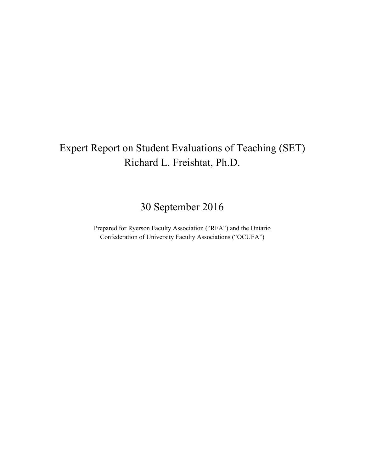# Expert Report on Student Evaluations of Teaching (SET) Richard L. Freishtat, Ph.D.

30 September 2016

Prepared for Ryerson Faculty Association ("RFA") and the Ontario Confederation of University Faculty Associations ("OCUFA")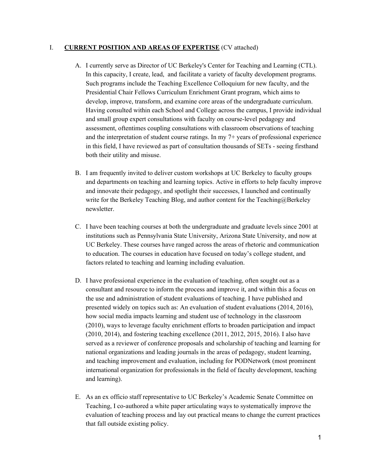#### I. **CURRENT POSITION AND AREAS OF EXPERTISE** (CV attached)

- A. I currently serve as Director of UC Berkeley's Center for Teaching and Learning (CTL). In this capacity, I create, lead, and facilitate a variety of faculty development programs. Such programs include the Teaching Excellence Colloquium for new faculty, and the Presidential Chair Fellows Curriculum Enrichment Grant program, which aims to develop, improve, transform, and examine core areas of the undergraduate curriculum. Having consulted within each School and College across the campus, I provide individual and small group expert consultations with faculty on course-level pedagogy and assessment, oftentimes coupling consultations with classroom observations of teaching and the interpretation of student course ratings. In my 7+ years of professional experience in this field, I have reviewed as part of consultation thousands of SETs - seeing firsthand both their utility and misuse.
- B. I am frequently invited to deliver custom workshops at UC Berkeley to faculty groups and departments on teaching and learning topics. Active in efforts to help faculty improve and innovate their pedagogy, and spotlight their successes, I launched and continually write for the Berkeley Teaching Blog, and author content for the Teaching $@$ Berkeley newsletter.
- C. I have been teaching courses at both the undergraduate and graduate levels since 2001 at institutions such as Pennsylvania State University, Arizona State University, and now at UC Berkeley. These courses have ranged across the areas of rhetoric and communication to education. The courses in education have focused on today's college student, and factors related to teaching and learning including evaluation.
- D. I have professional experience in the evaluation of teaching, often sought out as a consultant and resource to inform the process and improve it, and within this a focus on the use and administration of student evaluations of teaching. I have published and presented widely on topics such as: An evaluation of student evaluations (2014, 2016), how social media impacts learning and student use of technology in the classroom (2010), ways to leverage faculty enrichment efforts to broaden participation and impact (2010, 2014), and fostering teaching excellence (2011, 2012, 2015, 2016). I also have served as a reviewer of conference proposals and scholarship of teaching and learning for national organizations and leading journals in the areas of pedagogy, student learning, and teaching improvement and evaluation, including for PODNetwork (most prominent international organization for professionals in the field of faculty development, teaching and learning).
- E. As an ex officio staff representative to UC Berkeley's Academic Senate Committee on Teaching, I co-authored a white paper articulating ways to systematically improve the evaluation of teaching process and lay out practical means to change the current practices that fall outside existing policy.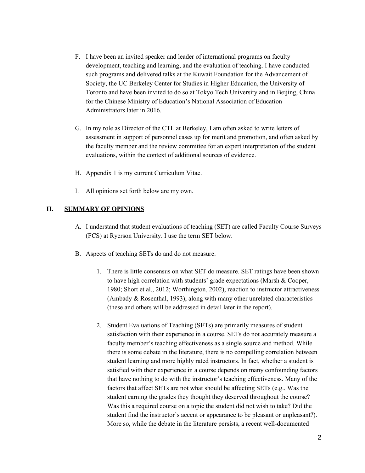- F. I have been an invited speaker and leader of international programs on faculty development, teaching and learning, and the evaluation of teaching. I have conducted such programs and delivered talks at the Kuwait Foundation for the Advancement of Society, the UC Berkeley Center for Studies in Higher Education, the University of Toronto and have been invited to do so at Tokyo Tech University and in Beijing, China for the Chinese Ministry of Education's National Association of Education Administrators later in 2016.
- G. In my role as Director of the CTL at Berkeley, I am often asked to write letters of assessment in support of personnel cases up for merit and promotion, and often asked by the faculty member and the review committee for an expert interpretation of the student evaluations, within the context of additional sources of evidence.
- H. Appendix 1 is my current Curriculum Vitae.
- I. All opinions set forth below are my own.

#### **II. SUMMARY OF OPINIONS**

- A. I understand that student evaluations of teaching (SET) are called Faculty Course Surveys (FCS) at Ryerson University. I use the term SET below.
- B. Aspects of teaching SETs do and do not measure.
	- 1. There is little consensus on what SET do measure. SET ratings have been shown to have high correlation with students' grade expectations (Marsh & Cooper, 1980; Short et al., 2012; Worthington, 2002), reaction to instructor attractiveness (Ambady & Rosenthal, 1993), along with many other unrelated characteristics (these and others will be addressed in detail later in the report).
	- 2. Student Evaluations of Teaching (SETs) are primarily measures of student satisfaction with their experience in a course. SETs do not accurately measure a faculty member's teaching effectiveness as a single source and method. While there is some debate in the literature, there is no compelling correlation between student learning and more highly rated instructors. In fact, whether a student is satisfied with their experience in a course depends on many confounding factors that have nothing to do with the instructor's teaching effectiveness. Many of the factors that affect SETs are not what should be affecting SETs (e.g., Was the student earning the grades they thought they deserved throughout the course? Was this a required course on a topic the student did not wish to take? Did the student find the instructor's accent or appearance to be pleasant or unpleasant?). More so, while the debate in the literature persists, a recent well-documented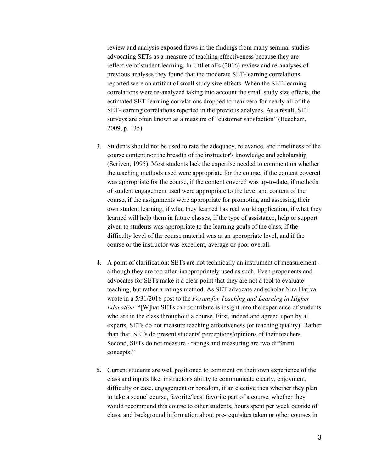review and analysis exposed flaws in the findings from many seminal studies advocating SETs as a measure of teaching effectiveness because they are reflective of student learning. In Uttl et al's (2016) review and re-analyses of previous analyses they found that the moderate SET-learning correlations reported were an artifact of small study size effects. When the SET-learning correlations were re-analyzed taking into account the small study size effects, the estimated SET-learning correlations dropped to near zero for nearly all of the SET-learning correlations reported in the previous analyses. As a result, SET surveys are often known as a measure of "customer satisfaction" (Beecham, 2009, p. 135).

- 3. Students should not be used to rate the adequacy, relevance, and timeliness of the course content nor the breadth of the instructor's knowledge and scholarship (Scriven, 1995). Most students lack the expertise needed to comment on whether the teaching methods used were appropriate for the course, if the content covered was appropriate for the course, if the content covered was up-to-date, if methods of student engagement used were appropriate to the level and content of the course, if the assignments were appropriate for promoting and assessing their own student learning, if what they learned has real world application, if what they learned will help them in future classes, if the type of assistance, help or support given to students was appropriate to the learning goals of the class, if the difficulty level of the course material was at an appropriate level, and if the course or the instructor was excellent, average or poor overall.
- 4. A point of clarification: SETs are not technically an instrument of measurement although they are too often inappropriately used as such. Even proponents and advocates for SETs make it a clear point that they are not a tool to evaluate teaching, but rather a ratings method. As SET advocate and scholar Nira Hativa wrote in a 5/31/2016 post to the *Forum for Teaching and Learning in Higher Education*: "[W]hat SETs can contribute is insight into the experience of students who are in the class throughout a course. First, indeed and agreed upon by all experts, SETs do not measure teaching effectiveness (or teaching quality)! Rather than that, SETs do present students' perceptions/opinions of their teachers. Second, SETs do not measure - ratings and measuring are two different concepts."
- 5. Current students are well positioned to comment on their own experience of the class and inputs like: instructor's ability to communicate clearly, enjoyment, difficulty or ease, engagement or boredom, if an elective then whether they plan to take a sequel course, favorite/least favorite part of a course, whether they would recommend this course to other students, hours spent per week outside of class, and background information about pre-requisites taken or other courses in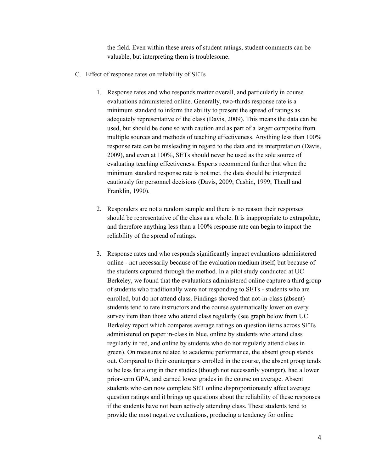the field. Even within these areas of student ratings, student comments can be valuable, but interpreting them is troublesome.

- C. Effect of response rates on reliability of SETs
	- 1. Response rates and who responds matter overall, and particularly in course evaluations administered online. Generally, two-thirds response rate is a minimum standard to inform the ability to present the spread of ratings as adequately representative of the class (Davis, 2009). This means the data can be used, but should be done so with caution and as part of a larger composite from multiple sources and methods of teaching effectiveness. Anything less than 100% response rate can be misleading in regard to the data and its interpretation (Davis, 2009), and even at 100%, SETs should never be used as the sole source of evaluating teaching effectiveness. Experts recommend further that when the minimum standard response rate is not met, the data should be interpreted cautiously for personnel decisions (Davis, 2009; Cashin, 1999; Theall and Franklin, 1990).
	- 2. Responders are not a random sample and there is no reason their responses should be representative of the class as a whole. It is inappropriate to extrapolate, and therefore anything less than a 100% response rate can begin to impact the reliability of the spread of ratings.
	- 3. Response rates and who responds significantly impact evaluations administered online - not necessarily because of the evaluation medium itself, but because of the students captured through the method. In a pilot study conducted at UC Berkeley, we found that the evaluations administered online capture a third group of students who traditionally were not responding to SETs - students who are enrolled, but do not attend class. Findings showed that not-in-class (absent) students tend to rate instructors and the course systematically lower on every survey item than those who attend class regularly (see graph below from UC Berkeley report which compares average ratings on question items across SETs administered on paper in-class in blue, online by students who attend class regularly in red, and online by students who do not regularly attend class in green). On measures related to academic performance, the absent group stands out. Compared to their counterparts enrolled in the course, the absent group tends to be less far along in their studies (though not necessarily younger), had a lower prior-term GPA, and earned lower grades in the course on average. Absent students who can now complete SET online disproportionately affect average question ratings and it brings up questions about the reliability of these responses if the students have not been actively attending class. These students tend to provide the most negative evaluations, producing a tendency for online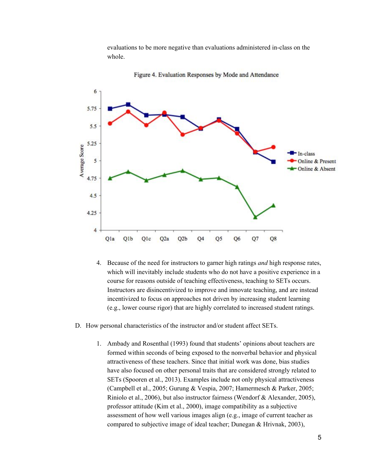evaluations to be more negative than evaluations administered in-class on the whole.



Figure 4. Evaluation Responses by Mode and Attendance

- 4. Because of the need for instructors to garner high ratings *and* high response rates, which will inevitably include students who do not have a positive experience in a course for reasons outside of teaching effectiveness, teaching to SETs occurs. Instructors are disincentivized to improve and innovate teaching, and are instead incentivized to focus on approaches not driven by increasing student learning (e.g., lower course rigor) that are highly correlated to increased student ratings.
- D. How personal characteristics of the instructor and/or student affect SETs.
	- 1. Ambady and Rosenthal (1993) found that students' opinions about teachers are formed within seconds of being exposed to the nonverbal behavior and physical attractiveness of these teachers. Since that initial work was done, bias studies have also focused on other personal traits that are considered strongly related to SETs (Spooren et al., 2013). Examples include not only physical attractiveness (Campbell et al., 2005; Gurung & Vespia, 2007; Hamermesch & Parker, 2005; Riniolo et al., 2006), but also instructor fairness (Wendorf & Alexander, 2005), professor attitude (Kim et al., 2000), image compatibility as a subjective assessment of how well various images align (e.g., image of current teacher as compared to subjective image of ideal teacher; Dunegan & Hrivnak, 2003),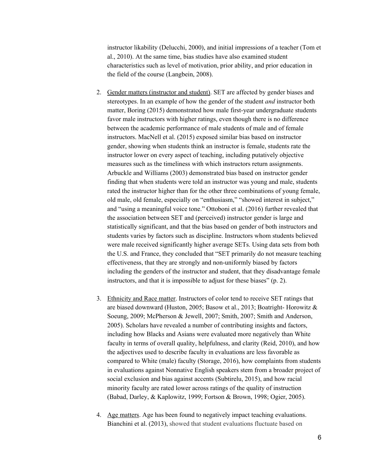instructor likability (Delucchi, 2000), and initial impressions of a teacher (Tom et al., 2010). At the same time, bias studies have also examined student characteristics such as level of motivation, prior ability, and prior education in the field of the course (Langbein, 2008).

- 2. Gender matters (instructor and student). SET are affected by gender biases and stereotypes. In an example of how the gender of the student *and* instructor both matter, Boring (2015) demonstrated how male first-year undergraduate students favor male instructors with higher ratings, even though there is no difference between the academic performance of male students of male and of female instructors. MacNell et al. (2015) exposed similar bias based on instructor gender, showing when students think an instructor is female, students rate the instructor lower on every aspect of teaching, including putatively objective measures such as the timeliness with which instructors return assignments. Arbuckle and Williams (2003) demonstrated bias based on instructor gender finding that when students were told an instructor was young and male, students rated the instructor higher than for the other three combinations of young female, old male, old female, especially on "enthusiasm," "showed interest in subject," and "using a meaningful voice tone." Ottoboni et al. (2016) further revealed that the association between SET and (perceived) instructor gender is large and statistically significant, and that the bias based on gender of both instructors and students varies by factors such as discipline. Instructors whom students believed were male received significantly higher average SETs. Using data sets from both the U.S. and France, they concluded that "SET primarily do not measure teaching effectiveness, that they are strongly and non-uniformly biased by factors including the genders of the instructor and student, that they disadvantage female instructors, and that it is impossible to adjust for these biases" (p. 2).
- 3. Ethnicity and Race matter. Instructors of color tend to receive SET ratings that are biased downward (Huston, 2005; Basow et al., 2013; Boatright- Horowitz & Soeung, 2009; McPherson & Jewell, 2007; Smith, 2007; Smith and Anderson, 2005). Scholars have revealed a number of contributing insights and factors, including how Blacks and Asians were evaluated more negatively than White faculty in terms of overall quality, helpfulness, and clarity (Reid, 2010), and how the adjectives used to describe faculty in evaluations are less favorable as compared to White (male) faculty (Storage, 2016), how complaints from students in evaluations against Nonnative English speakers stem from a broader project of social exclusion and bias against accents (Subtirelu, 2015), and how racial minority faculty are rated lower across ratings of the quality of instruction (Babad, Darley, & Kaplowitz, 1999; Fortson & Brown, 1998; Ogier, 2005).
- 4. Age matters. Age has been found to negatively impact teaching evaluations. Bianchini et al. (2013), showed that student evaluations fluctuate based on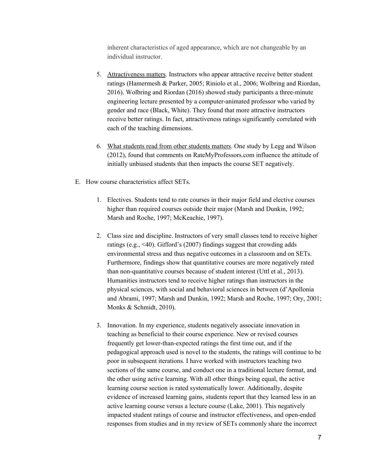inherent characteristics of aged appearance, which are not changeable by an individual instructor.

- 5. Attractiveness matters. Instructors who appear attractive receive better student ratings (Hamermesh & Parker, 2005; Riniolo et al., 2006; Wolbring and Riordan, 2016). Wolbring and Riordan (2016) showed study participants a three-minute engineering lecture presented by a computer-animated professor who varied by gender and race (Black, White). They found that more attractive instructors receive better ratings. In fact, attractiveness ratings significantly correlated with each of the teaching dimensions.
- 6. What students read from other students matters. One study by Legg and Wilson (2012), found that comments on RateMyProfessors.com influence the attitude of initially unbiased students that then impacts the course SET negatively.
- E. How course characteristics affect SETs.
	- 1. Electives. Students tend to rate courses in their major field and elective courses higher than required courses outside their major (Marsh and Dunkin, 1992; Marsh and Roche, 1997; McKeachie, 1997).
	- 2. Class size and discipline. Instructors of very small classes tend to receive higher ratings (e.g., <40). Gifford's (2007) findings suggest that crowding adds environmental stress and thus negative outcomes in a classroom and on SETs. Furthermore, findings show that quantitative courses are more negatively rated than non-quantitative courses because of student interest (Uttl et al., 2013). Humanities instructors tend to receive higher ratings than instructors in the physical sciences, with social and behavioral sciences in between (d'Apollonia and Abrami, 1997; Marsh and Dunkin, 1992; Marsh and Roche, 1997; Ory, 2001; Monks & Schmidt, 2010).
	- 3. Innovation. In my experience, students negatively associate innovation in teaching as beneficial to their course experience. New or revised courses frequently get lower-than-expected ratings the first time out, and if the pedagogical approach used is novel to the students, the ratings will continue to be poor in subsequent iterations. I have worked with instructors teaching two sections of the same course, and conduct one in a traditional lecture format, and the other using active learning. With all other things being equal, the active learning course section is rated systematically lower. Additionally, despite evidence of increased learning gains, students report that they learned less in an active learning course versus a lecture course (Lake, 2001). This negatively impacted student ratings of course and instructor effectiveness, and open-ended responses from studies and in my review of SETs commonly share the incorrect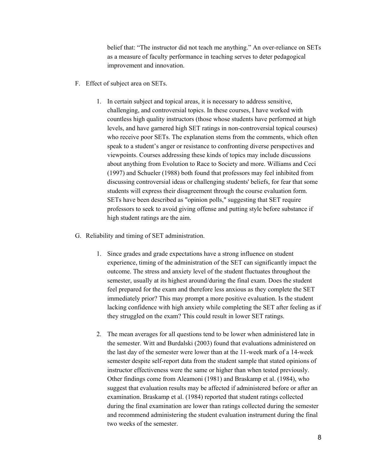belief that: "The instructor did not teach me anything." An over-reliance on SETs as a measure of faculty performance in teaching serves to deter pedagogical improvement and innovation.

- F. Effect of subject area on SETs.
	- 1. In certain subject and topical areas, it is necessary to address sensitive, challenging, and controversial topics. In these courses, I have worked with countless high quality instructors (those whose students have performed at high levels, and have garnered high SET ratings in non-controversial topical courses) who receive poor SETs. The explanation stems from the comments, which often speak to a student's anger or resistance to confronting diverse perspectives and viewpoints. Courses addressing these kinds of topics may include discussions about anything from Evolution to Race to Society and more. Williams and Ceci (1997) and Schueler (1988) both found that professors may feel inhibited from discussing controversial ideas or challenging students' beliefs, for fear that some students will express their disagreement through the course evaluation form. SETs have been described as "opinion polls," suggesting that SET require professors to seek to avoid giving offense and putting style before substance if high student ratings are the aim.
- G. Reliability and timing of SET administration.
	- 1. Since grades and grade expectations have a strong influence on student experience, timing of the administration of the SET can significantly impact the outcome. The stress and anxiety level of the student fluctuates throughout the semester, usually at its highest around/during the final exam. Does the student feel prepared for the exam and therefore less anxious as they complete the SET immediately prior? This may prompt a more positive evaluation. Is the student lacking confidence with high anxiety while completing the SET after feeling as if they struggled on the exam? This could result in lower SET ratings.
	- 2. The mean averages for all questions tend to be lower when administered late in the semester. Witt and Burdalski (2003) found that evaluations administered on the last day of the semester were lower than at the 11-week mark of a 14-week semester despite self-report data from the student sample that stated opinions of instructor effectiveness were the same or higher than when tested previously. Other findings come from Aleamoni (1981) and Braskamp et al. (1984), who suggest that evaluation results may be affected if administered before or after an examination. Braskamp et al. (1984) reported that student ratings collected during the final examination are lower than ratings collected during the semester and recommend administering the student evaluation instrument during the final two weeks of the semester.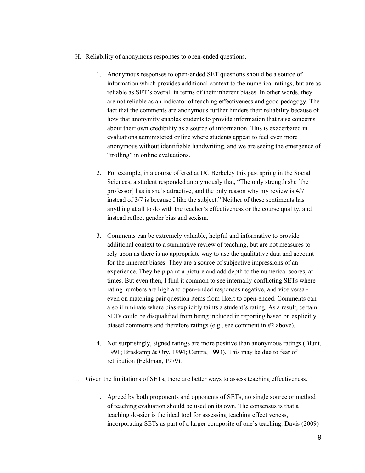- H. Reliability of anonymous responses to open-ended questions.
	- 1. Anonymous responses to open-ended SET questions should be a source of information which provides additional context to the numerical ratings, but are as reliable as SET's overall in terms of their inherent biases. In other words, they are not reliable as an indicator of teaching effectiveness and good pedagogy. The fact that the comments are anonymous further hinders their reliability because of how that anonymity enables students to provide information that raise concerns about their own credibility as a source of information. This is exacerbated in evaluations administered online where students appear to feel even more anonymous without identifiable handwriting, and we are seeing the emergence of "trolling" in online evaluations.
	- 2. For example, in a course offered at UC Berkeley this past spring in the Social Sciences, a student responded anonymously that, "The only strength she [the professor] has is she's attractive, and the only reason why my review is 4/7 instead of 3/7 is because I like the subject." Neither of these sentiments has anything at all to do with the teacher's effectiveness or the course quality, and instead reflect gender bias and sexism.
	- 3. Comments can be extremely valuable, helpful and informative to provide additional context to a summative review of teaching, but are not measures to rely upon as there is no appropriate way to use the qualitative data and account for the inherent biases. They are a source of subjective impressions of an experience. They help paint a picture and add depth to the numerical scores, at times. But even then, I find it common to see internally conflicting SETs where rating numbers are high and open-ended responses negative, and vice versa even on matching pair question items from likert to open-ended. Comments can also illuminate where bias explicitly taints a student's rating. As a result, certain SETs could be disqualified from being included in reporting based on explicitly biased comments and therefore ratings (e.g., see comment in #2 above).
	- 4. Not surprisingly, signed ratings are more positive than anonymous ratings (Blunt, 1991; Braskamp & Ory, 1994; Centra, 1993). This may be due to fear of retribution (Feldman, 1979).
- I. Given the limitations of SETs, there are better ways to assess teaching effectiveness.
	- 1. Agreed by both proponents and opponents of SETs, no single source or method of teaching evaluation should be used on its own. The consensus is that a teaching dossier is the ideal tool for assessing teaching effectiveness, incorporating SETs as part of a larger composite of one's teaching. Davis (2009)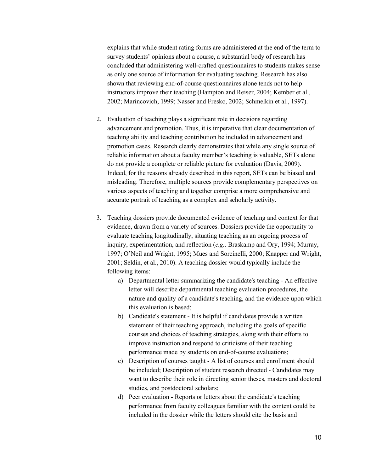explains that while student rating forms are administered at the end of the term to survey students' opinions about a course, a substantial body of research has concluded that administering well-crafted questionnaires to students makes sense as only one source of information for evaluating teaching. Research has also shown that reviewing end-of-course questionnaires alone tends not to help instructors improve their teaching (Hampton and Reiser, 2004; Kember et al., 2002; Marincovich, 1999; Nasser and Fresko, 2002; Schmelkin et al., 1997).

- 2. Evaluation of teaching plays a significant role in decisions regarding advancement and promotion. Thus, it is imperative that clear documentation of teaching ability and teaching contribution be included in advancement and promotion cases. Research clearly demonstrates that while any single source of reliable information about a faculty member's teaching is valuable, SETs alone do not provide a complete or reliable picture for evaluation (Davis, 2009). Indeed, for the reasons already described in this report, SETs can be biased and misleading. Therefore, multiple sources provide complementary perspectives on various aspects of teaching and together comprise a more comprehensive and accurate portrait of teaching as a complex and scholarly activity.
- 3. Teaching dossiers provide documented evidence of teaching and context for that evidence, drawn from a variety of sources. Dossiers provide the opportunity to evaluate teaching longitudinally, situating teaching as an ongoing process of inquiry, experimentation, and reflection (*e.g.,* Braskamp and Ory, 1994; Murray, 1997; O'Neil and Wright, 1995; Mues and Sorcinelli, 2000; Knapper and Wright, 2001; Seldin, et al., 2010). A teaching dossier would typically include the following items:
	- a) Departmental letter summarizing the candidate's teaching An effective letter will describe departmental teaching evaluation procedures, the nature and quality of a candidate's teaching, and the evidence upon which this evaluation is based;
	- b) Candidate's statement It is helpful if candidates provide a written statement of their teaching approach, including the goals of specific courses and choices of teaching strategies, along with their efforts to improve instruction and respond to criticisms of their teaching performance made by students on end-of-course evaluations;
	- c) Description of courses taught A list of courses and enrollment should be included; Description of student research directed - Candidates may want to describe their role in directing senior theses, masters and doctoral studies, and postdoctoral scholars;
	- d) Peer evaluation Reports or letters about the candidate's teaching performance from faculty colleagues familiar with the content could be included in the dossier while the letters should cite the basis and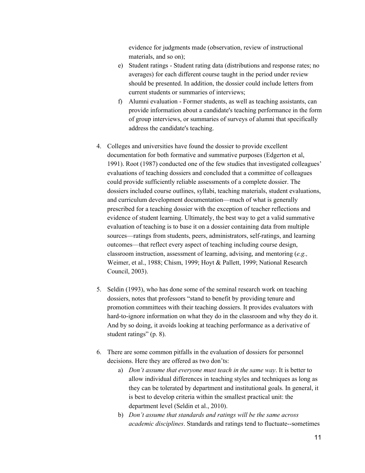evidence for judgments made (observation, review of instructional materials, and so on);

- e) Student ratings Student rating data (distributions and response rates; no averages) for each different course taught in the period under review should be presented. In addition, the dossier could include letters from current students or summaries of interviews;
- f) Alumni evaluation Former students, as well as teaching assistants, can provide information about a candidate's teaching performance in the form of group interviews, or summaries of surveys of alumni that specifically address the candidate's teaching.
- 4. Colleges and universities have found the dossier to provide excellent documentation for both formative and summative purposes (Edgerton et al, 1991). Root (1987) conducted one of the few studies that investigated colleagues' evaluations of teaching dossiers and concluded that a committee of colleagues could provide sufficiently reliable assessments of a complete dossier. The dossiers included course outlines, syllabi, teaching materials, student evaluations, and curriculum development documentation—much of what is generally prescribed for a teaching dossier with the exception of teacher reflections and evidence of student learning. Ultimately, the best way to get a valid summative evaluation of teaching is to base it on a dossier containing data from multiple sources—ratings from students, peers, administrators, self-ratings, and learning outcomes—that reflect every aspect of teaching including course design, classroom instruction, assessment of learning, advising, and mentoring (*e.g.,* Weimer, et al., 1988; Chism, 1999; Hoyt & Pallett, 1999; National Research Council, 2003).
- 5. Seldin (1993), who has done some of the seminal research work on teaching dossiers, notes that professors "stand to benefit by providing tenure and promotion committees with their teaching dossiers. It provides evaluators with hard-to-ignore information on what they do in the classroom and why they do it. And by so doing, it avoids looking at teaching performance as a derivative of student ratings" (p. 8).
- 6. There are some common pitfalls in the evaluation of dossiers for personnel decisions. Here they are offered as two don'ts:
	- a) *Don't assume that everyone must teach in the same way*. It is better to allow individual differences in teaching styles and techniques as long as they can be tolerated by department and institutional goals. In general, it is best to develop criteria within the smallest practical unit: the department level (Seldin et al., 2010).
	- b) *Don't assume that standards and ratings will be the same across academic disciplines*. Standards and ratings tend to fluctuate--sometimes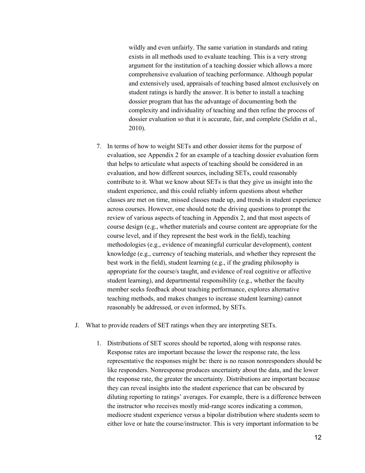wildly and even unfairly. The same variation in standards and rating exists in all methods used to evaluate teaching. This is a very strong argument for the institution of a teaching dossier which allows a more comprehensive evaluation of teaching performance. Although popular and extensively used, appraisals of teaching based almost exclusively on student ratings is hardly the answer. It is better to install a teaching dossier program that has the advantage of documenting both the complexity and individuality of teaching and then refine the process of dossier evaluation so that it is accurate, fair, and complete (Seldin et al., 2010).

- 7. In terms of how to weight SETs and other dossier items for the purpose of evaluation, see Appendix 2 for an example of a teaching dossier evaluation form that helps to articulate what aspects of teaching should be considered in an evaluation, and how different sources, including SETs, could reasonably contribute to it. What we know about SETs is that they give us insight into the student experience, and this could reliably inform questions about whether classes are met on time, missed classes made up, and trends in student experience across courses. However, one should note the driving questions to prompt the review of various aspects of teaching in Appendix 2, and that most aspects of course design (e.g., whether materials and course content are appropriate for the course level, and if they represent the best work in the field), teaching methodologies (e.g., evidence of meaningful curricular development), content knowledge (e.g., currency of teaching materials, and whether they represent the best work in the field), student learning (e.g., if the grading philosophy is appropriate for the course/s taught, and evidence of real cognitive or affective student learning), and departmental responsibility (e.g., whether the faculty member seeks feedback about teaching performance, explores alternative teaching methods, and makes changes to increase student learning) cannot reasonably be addressed, or even informed, by SETs.
- J. What to provide readers of SET ratings when they are interpreting SETs.
	- 1. Distributions of SET scores should be reported, along with response rates. Response rates are important because the lower the response rate, the less representative the responses might be: there is no reason nonresponders should be like responders. Nonresponse produces uncertainty about the data, and the lower the response rate, the greater the uncertainty. Distributions are important because they can reveal insights into the student experience that can be obscured by diluting reporting to ratings' averages. For example, there is a difference between the instructor who receives mostly mid-range scores indicating a common, mediocre student experience versus a bipolar distribution where students seem to either love or hate the course/instructor. This is very important information to be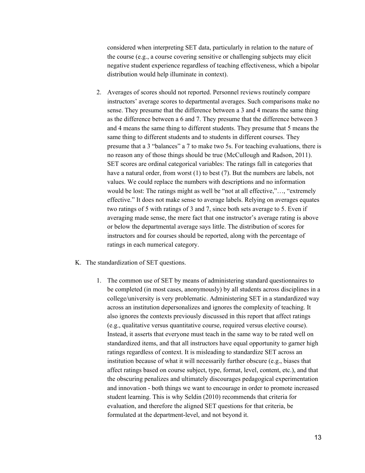considered when interpreting SET data, particularly in relation to the nature of the course (e.g., a course covering sensitive or challenging subjects may elicit negative student experience regardless of teaching effectiveness, which a bipolar distribution would help illuminate in context).

- 2. Averages of scores should not reported. Personnel reviews routinely compare instructors' average scores to departmental averages. Such comparisons make no sense. They presume that the difference between a 3 and 4 means the same thing as the difference between a 6 and 7. They presume that the difference between 3 and 4 means the same thing to different students. They presume that 5 means the same thing to different students and to students in different courses. They presume that a 3 "balances" a 7 to make two 5s. For teaching evaluations, there is no reason any of those things should be true (McCullough and Radson, 2011). SET scores are ordinal categorical variables: The ratings fall in categories that have a natural order, from worst (1) to best (7). But the numbers are labels, not values. We could replace the numbers with descriptions and no information would be lost: The ratings might as well be "not at all effective,"…, "extremely effective." It does not make sense to average labels. Relying on averages equates two ratings of 5 with ratings of 3 and 7, since both sets average to 5. Even if averaging made sense, the mere fact that one instructor's average rating is above or below the departmental average says little. The distribution of scores for instructors and for courses should be reported, along with the percentage of ratings in each numerical category.
- K. The standardization of SET questions.
	- 1. The common use of SET by means of administering standard questionnaires to be completed (in most cases, anonymously) by all students across disciplines in a college/university is very problematic. Administering SET in a standardized way across an institution depersonalizes and ignores the complexity of teaching. It also ignores the contexts previously discussed in this report that affect ratings (e.g., qualitative versus quantitative course, required versus elective course). Instead, it asserts that everyone must teach in the same way to be rated well on standardized items, and that all instructors have equal opportunity to garner high ratings regardless of context. It is misleading to standardize SET across an institution because of what it will necessarily further obscure (e.g., biases that affect ratings based on course subject, type, format, level, content, etc.), and that the obscuring penalizes and ultimately discourages pedagogical experimentation and innovation - both things we want to encourage in order to promote increased student learning. This is why Seldin (2010) recommends that criteria for evaluation, and therefore the aligned SET questions for that criteria, be formulated at the department-level, and not beyond it.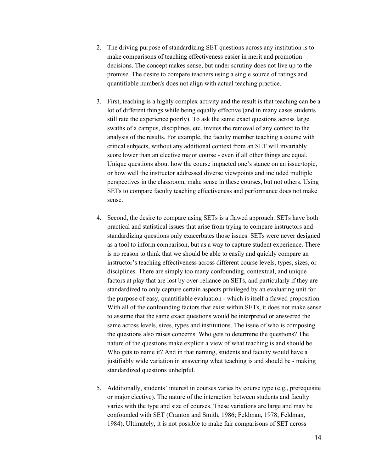- 2. The driving purpose of standardizing SET questions across any institution is to make comparisons of teaching effectiveness easier in merit and promotion decisions. The concept makes sense, but under scrutiny does not live up to the promise. The desire to compare teachers using a single source of ratings and quantifiable number/s does not align with actual teaching practice.
- 3. First, teaching is a highly complex activity and the result is that teaching can be a lot of different things while being equally effective (and in many cases students still rate the experience poorly). To ask the same exact questions across large swaths of a campus, disciplines, etc. invites the removal of any context to the analysis of the results. For example, the faculty member teaching a course with critical subjects, without any additional context from an SET will invariably score lower than an elective major course - even if all other things are equal. Unique questions about how the course impacted one's stance on an issue/topic, or how well the instructor addressed diverse viewpoints and included multiple perspectives in the classroom, make sense in these courses, but not others. Using SETs to compare faculty teaching effectiveness and performance does not make sense.
- 4. Second, the desire to compare using SETs is a flawed approach. SETs have both practical and statistical issues that arise from trying to compare instructors and standardizing questions only exacerbates those issues. SETs were never designed as a tool to inform comparison, but as a way to capture student experience. There is no reason to think that we should be able to easily and quickly compare an instructor's teaching effectiveness across different course levels, types, sizes, or disciplines. There are simply too many confounding, contextual, and unique factors at play that are lost by over-reliance on SETs, and particularly if they are standardized to only capture certain aspects privileged by an evaluating unit for the purpose of easy, quantifiable evaluation - which is itself a flawed proposition. With all of the confounding factors that exist within SETs, it does not make sense to assume that the same exact questions would be interpreted or answered the same across levels, sizes, types and institutions. The issue of who is composing the questions also raises concerns. Who gets to determine the questions? The nature of the questions make explicit a view of what teaching is and should be. Who gets to name it? And in that naming, students and faculty would have a justifiably wide variation in answering what teaching is and should be - making standardized questions unhelpful.
- 5. Additionally, students' interest in courses varies by course type (e.g., prerequisite or major elective). The nature of the interaction between students and faculty varies with the type and size of courses. These variations are large and may be confounded with SET (Cranton and Smith, 1986; Feldman, 1978; Feldman, 1984). Ultimately, it is not possible to make fair comparisons of SET across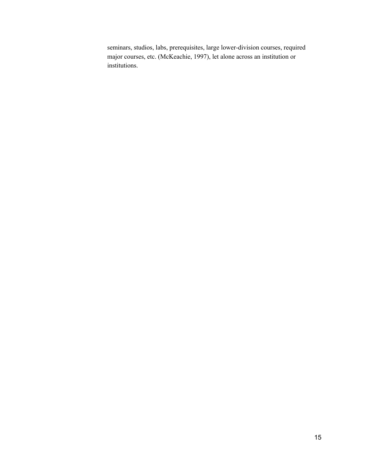seminars, studios, labs, prerequisites, large lower-division courses, required major courses, etc. (McKeachie, 1997), let alone across an institution or institutions.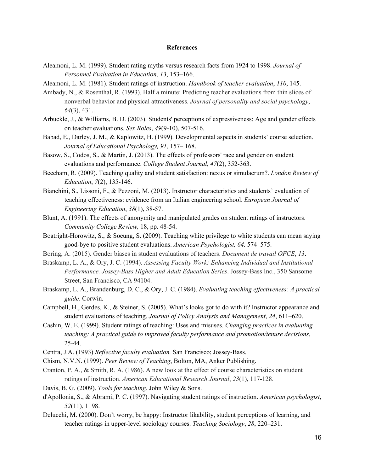#### **References**

- Aleamoni, L. M. (1999). Student rating myths versus research facts from 1924 to 1998. *Journal of Personnel Evaluation in Education*, *13*, 153–166.
- Aleamoni, L. M. (1981). Student ratings of instruction. *Handbook of teacher evaluation*, *110*, 145.
- Ambady, N., & Rosenthal, R. (1993). Half a minute: Predicting teacher evaluations from thin slices of nonverbal behavior and physical attractiveness. *Journal of personality and social psychology*, *64*(3), 431..
- Arbuckle, J., & Williams, B. D. (2003). Students' perceptions of expressiveness: Age and gender effects on teacher evaluations. *Sex Roles*, *49*(9-10), 507-516.
- Babad, E., Darley, J. M., & Kaplowitz, H. (1999). Developmental aspects in students' course selection. *Journal of Educational Psychology, 91,* 157– 168.
- Basow, S., Codos, S., & Martin, J. (2013). The effects of professors' race and gender on student evaluations and performance. *College Student Journal*, *47*(2), 352-363.
- Beecham, R. (2009). Teaching quality and student satisfaction: nexus or simulacrum?. *London Review of Education*, *7*(2), 135-146.
- Bianchini, S., Lissoni, F., & Pezzoni, M. (2013). Instructor characteristics and students' evaluation of teaching effectiveness: evidence from an Italian engineering school. *European Journal of Engineering Education*, *38*(1), 38-57.
- Blunt, A. (1991). The effects of anonymity and manipulated grades on student ratings of instructors. *Community College Review,* 18, pp. 48-54.
- Boatright-Horowitz, S., & Soeung, S. (2009). Teaching white privilege to white students can mean saying good-bye to positive student evaluations. *American Psychologist, 64,* 574–575.
- Boring, A. (2015). Gender biases in student evaluations of teachers. *Document de travail OFCE*, *13*.
- Braskamp, L. A., & Ory, J. C. (1994). *Assessing Faculty Work: Enhancing Individual and Institutional Performance. Jossey-Bass Higher and Adult Education Series*. Jossey-Bass Inc., 350 Sansome Street, San Francisco, CA 94104.
- Braskamp, L. A., Brandenburg, D. C., & Ory, J. C. (1984). *Evaluating teaching ef ectiveness: A practical guide*. Corwin.
- Campbell, H., Gerdes, K., & Steiner, S. (2005). What's looks got to do with it? Instructor appearance and student evaluations of teaching. *Journal of Policy Analysis and Management*, *24*, 611–620.
- Cashin, W. E. (1999). Student ratings of teaching: Uses and misuses. *Changing practices in evaluating teaching: A practical guide to improved faculty performance and promotion/tenure decisions*, 25-44.
- Centra, J.A. (1993) *Reflective faculty evaluation.* San Francisco; Jossey-Bass.
- Chism, N.V.N. (1999). *Peer Review of Teaching*, Bolton, MA, Anker Publishing.
- Cranton, P. A., & Smith, R. A. (1986). A new look at the effect of course characteristics on student ratings of instruction. *American Educational Research Journal*, *23*(1), 117-128.
- Davis, B. G. (2009). *Tools for teaching*. John Wiley & Sons.
- d'Apollonia, S., & Abrami, P. C. (1997). Navigating student ratings of instruction. *American psychologist*, *52*(11), 1198.
- Delucchi, M. (2000). Don't worry, be happy: Instructor likability, student perceptions of learning, and teacher ratings in upper-level sociology courses. *Teaching Sociology*, *28*, 220–231.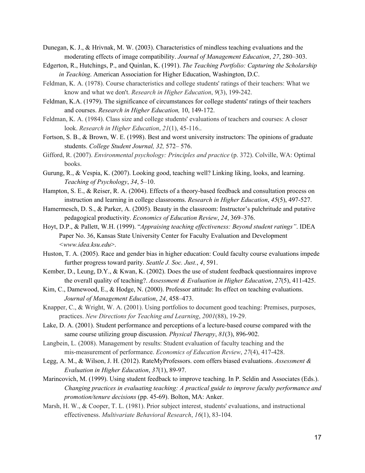- Dunegan, K. J., & Hrivnak, M. W. (2003). Characteristics of mindless teaching evaluations and the moderating effects of image compatibility. *Journal of Management Education*, *27*, 280–303.
- Edgerton, R., Hutchings, P., and Quinlan, K. (1991). *The Teaching Portfolio: Capturing the Scholarship in Teaching*. American Association for Higher Education, Washington, D.C.
- Feldman, K. A. (1978). Course characteristics and college students' ratings of their teachers: What we know and what we don't. *Research in Higher Education*, *9*(3), 199-242.
- Feldman, K.A. (1979). The significance of circumstances for college students' ratings of their teachers and courses. *Research in Higher Education,* 10, 149-172.
- Feldman, K. A. (1984). Class size and college students' evaluations of teachers and courses: A closer look. *Research in Higher Education*, *21*(1), 45-116..
- Fortson, S. B., & Brown, W. E. (1998). Best and worst university instructors: The opinions of graduate students. *College Student Journal, 32,* 572– 576.
- Gifford, R. (2007). *Environmental psychology: Principles and practice* (p. 372). Colville, WA: Optimal books.
- Gurung, R., & Vespia, K. (2007). Looking good, teaching well? Linking liking, looks, and learning. *Teaching of Psychology*, *34*, 5–10.
- Hampton, S. E., & Reiser, R. A. (2004). Effects of a theory-based feedback and consultation process on instruction and learning in college classrooms. *Research in Higher Education*, *45*(5), 497-527.
- Hamermesch, D. S., & Parker, A. (2005). Beauty in the classroom: Instructor's pulchritude and putative pedagogical productivity. *Economics of Education Review*, *24*, 369–376.
- Hoyt, D.P., & Pallett, W.H. (1999). "Appraising teaching effectiveness: Beyond student ratings". IDEA Paper No. 36, Kansas State University Center for Faculty Evaluation and Development *<www.idea.ksu.edu*>.
- Huston, T. A. (2005). Race and gender bias in higher education: Could faculty course evaluations impede further progress toward parity. *Seattle J. Soc. Just.*, *4*, 591.
- Kember, D., Leung, D.Y., & Kwan, K. (2002). Does the use of student feedback questionnaires improve the overall quality of teaching?. *Assessment & Evaluation in Higher Education*, *27*(5), 411-425.
- Kim, C., Damewood, E., & Hodge, N. (2000). Professor attitude: Its effect on teaching evaluations. *Journal of Management Education*, *24*, 458–473.
- Knapper, C., & Wright, W. A. (2001). Using portfolios to document good teaching: Premises, purposes, practices. *New Directions for Teaching and Learning*, *2001*(88), 19-29.
- Lake, D. A. (2001). Student performance and perceptions of a lecture-based course compared with the same course utilizing group discussion. *Physical Therapy*, *81*(3), 896-902.
- Langbein, L. (2008). Management by results: Student evaluation of faculty teaching and the mis-measurement of performance. *Economics of Education Review*, *27*(4), 417-428.
- Legg, A. M., & Wilson, J. H. (2012). RateMyProfessors. com offers biased evaluations. *Assessment & Evaluation in Higher Education*, *37*(1), 89-97.
- Marincovich, M. (1999). Using student feedback to improve teaching. In P. Seldin and Associates (Eds.). *Changing practices in evaluating teaching: A practical guide to improve faculty performance and promotion/tenure decisions* (pp. 45-69). Bolton, MA: Anker.
- Marsh, H. W., & Cooper, T. L. (1981). Prior subject interest, students' evaluations, and instructional effectiveness. *Multivariate Behavioral Research*, *16*(1), 83-104.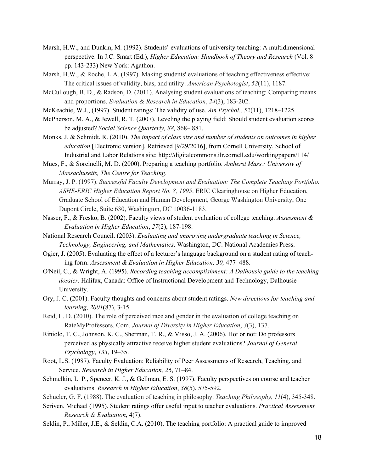- Marsh, H.W., and Dunkin, M. (1992). Students' evaluations of university teaching: A multidimensional perspective. In J.C. Smart (Ed.), *Higher Education: Handbook of Theory and Research* (Vol. 8 pp. 143-233) New York: Agathon.
- Marsh, H.W., & Roche, L.A. (1997). Making students' evaluations of teaching effectiveness effective: The critical issues of validity, bias, and utility. *American Psychologist*, *52*(11), 1187.
- McCullough, B. D., & Radson, D. (2011). Analysing student evaluations of teaching: Comparing means and proportions. *Evaluation & Research in Education*, *24*(3), 183-202.
- McKeachie, W.J., (1997). Student ratings: The validity of use. *Am Psychol., 52*(11), 1218–1225.
- McPherson, M. A., & Jewell, R. T. (2007). Leveling the playing field: Should student evaluation scores be adjusted? *Social Science Quarterly, 88,* 868– 881.
- Monks, J. & Schmidt, R. (2010). *The impact of class size and number of students on outcomes in higher education* [Electronic version]*.* Retrieved [9/29/2016], from Cornell University, School of Industrial and Labor Relations site: http://digitalcommons.ilr.cornell.edu/workingpapers/114/
- Mues, F., & Sorcinelli, M. D. (2000). Preparing a teaching portfolio. *Amherst Mass.: University of Massachusetts, The Centre for Teaching*.
- Murray, J. P. (1997). *Successful Faculty Development and Evaluation: The Complete Teaching Portfolio. ASHE-ERIC Higher Education Report No. 8, 1995*. ERIC Clearinghouse on Higher Education, Graduate School of Education and Human Development, George Washington University, One Dupont Circle, Suite 630, Washington, DC 10036-1183.
- Nasser, F., & Fresko, B. (2002). Faculty views of student evaluation of college teaching. *Assessment & Evaluation in Higher Education*, *27*(2), 187-198.
- National Research Council. (2003). *Evaluating and improving undergraduate teaching in Science, Technology, Engineering, and Mathematics*. Washington, DC: National Academies Press.
- Ogier, J. (2005). Evaluating the effect of a lecturer's language background on a student rating of teaching form. *Assessment & Evaluation in Higher Education, 30,* 477–488.
- O'Neil, C., & Wright, A. (1995). *Recording teaching accomplishment: A Dalhousie guide to the teaching dossier*. Halifax, Canada: Office of Instructional Development and Technology, Dalhousie University.
- Ory, J. C. (2001). Faculty thoughts and concerns about student ratings. *New directions for teaching and learning*, *2001*(87), 3-15.
- Reid, L. D. (2010). The role of perceived race and gender in the evaluation of college teaching on RateMyProfessors. Com. *Journal of Diversity in Higher Education*, *3*(3), 137.
- Riniolo, T. C., Johnson, K. C., Sherman, T. R., & Misso, J. A. (2006). Hot or not: Do professors perceived as physically attractive receive higher student evaluations? *Journal of General Psychology*, *133*, 19–35.
- Root, L.S. (1987). Faculty Evaluation: Reliability of Peer Assessments of Research, Teaching, and Service. *Research in Higher Education, 26*, 71–84.
- Schmelkin, L. P., Spencer, K. J., & Gellman, E. S. (1997). Faculty perspectives on course and teacher evaluations. *Research in Higher Education*, *38*(5), 575-592.
- Schueler, G. F. (1988). The evaluation of teaching in philosophy. *Teaching Philosophy*, *11*(4), 345-348.
- Scriven, Michael (1995). Student ratings offer useful input to teacher evaluations. *Practical Assessment, Research & Evaluation*, 4(7).
- Seldin, P., Miller, J.E., & Seldin, C.A. (2010). The teaching portfolio: A practical guide to improved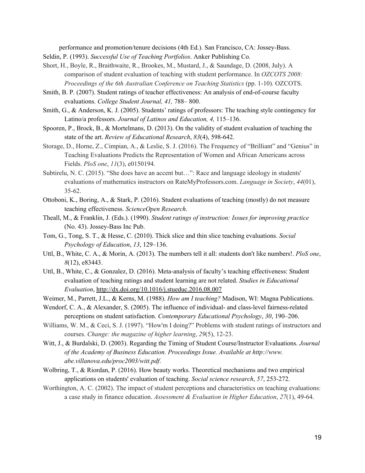performance and promotion/tenure decisions (4th Ed.). San Francisco, CA: Jossey-Bass.

- Seldin, P. (1993). *Successful Use of Teaching Portfolios*. Anker Publishing Co.
- Short, H., Boyle, R., Braithwaite, R., Brookes, M., Mustard, J., & Saundage, D. (2008, July). A comparison of student evaluation of teaching with student performance. In *OZCOTS 2008: Proceedings of the 6th Australian Conference on Teaching Statistics* (pp. 1-10). OZCOTS.
- Smith, B. P. (2007). Student ratings of teacher effectiveness: An analysis of end-of-course faculty evaluations. *College Student Journal, 41,* 788– 800.
- Smith, G., & Anderson, K. J. (2005). Students' ratings of professors: The teaching style contingency for Latino/a professors. *Journal of Latinos and Education, 4,* 115–136.
- Spooren, P., Brock, B., & Mortelmans, D. (2013). On the validity of student evaluation of teaching the state of the art. *Review of Educational Research*, *83*(4), 598-642.
- Storage, D., Horne, Z., Cimpian, A., & Leslie, S. J. (2016). The Frequency of "Brilliant" and "Genius" in Teaching Evaluations Predicts the Representation of Women and African Americans across Fields. *PloS one*, *11*(3), e0150194.
- Subtirelu, N. C. (2015). "She does have an accent but…": Race and language ideology in students' evaluations of mathematics instructors on RateMyProfessors.com. *Language in Society*, *44*(01), 35-62.
- Ottoboni, K., Boring, A., & Stark, P. (2016). Student evaluations of teaching (mostly) do not measure teaching effectiveness. *ScienceOpen Research*.
- Theall, M., & Franklin, J. (Eds.). (1990). *Student ratings of instruction: Issues for improving practice* (No. 43). Jossey-Bass Inc Pub.
- Tom, G., Tong, S. T., & Hesse, C. (2010). Thick slice and thin slice teaching evaluations. *Social Psychology of Education*, *13*, 129–136.
- Uttl, B., White, C. A., & Morin, A. (2013). The numbers tell it all: students don't like numbers!. *PloS one*, *8*(12), e83443.
- Uttl, B., White, C., & Gonzalez, D. (2016). Meta-analysis of faculty's teaching effectiveness: Student evaluation of teaching ratings and student learning are not related. *Studies in Educational Evaluation*,<http://dx.doi.org/10.1016/j.stueduc.2016.08.007>
- Weimer, M., Parrett, J.L., & Kerns, M. (1988). *How am I teaching?* Madison, WI: Magna Publications.
- Wendorf, C. A., & Alexander, S. (2005). The influence of individual- and class-level fairness-related perceptions on student satisfaction. *Contemporary Educational Psychology*, *30*, 190–206.
- Williams, W. M., & Ceci, S. J. (1997). "How'm I doing?" Problems with student ratings of instructors and courses. *Change: the magazine of higher learning*, *29*(5), 12-23.
- Witt, J., & Burdalski, D. (2003). Regarding the Timing of Student Course/Instructor Evaluations. *Journal of the Academy of Business Education. Proceedings Issue. Available at http://www. abe.villanova.edu/proc2003/witt.pdf*.
- Wolbring, T., & Riordan, P. (2016). How beauty works. Theoretical mechanisms and two empirical applications on students' evaluation of teaching. *Social science research*, *57*, 253-272.
- Worthington, A. C. (2002). The impact of student perceptions and characteristics on teaching evaluations: a case study in finance education. *Assessment & Evaluation in Higher Education*, *27*(1), 49-64.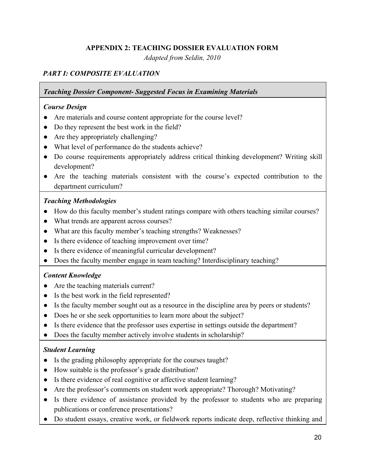## **APPENDIX 2: TEACHING DOSSIER EVALUATION FORM**

*Adapted from Seldin, 2010*

## *PART I: COMPOSITE EVALUATION*

#### *Teaching Dossier Component- Suggested Focus in Examining Materials*

#### *Course Design*

- Are materials and course content appropriate for the course level?
- Do they represent the best work in the field?
- Are they appropriately challenging?
- What level of performance do the students achieve?
- Do course requirements appropriately address critical thinking development? Writing skill development?
- Are the teaching materials consistent with the course's expected contribution to the department curriculum?

## *Teaching Methodologies*

- How do this faculty member's student ratings compare with others teaching similar courses?
- What trends are apparent across courses?
- What are this faculty member's teaching strengths? Weaknesses?
- Is there evidence of teaching improvement over time?
- Is there evidence of meaningful curricular development?
- Does the faculty member engage in team teaching? Interdisciplinary teaching?

## *Content Knowledge*

- Are the teaching materials current?
- Is the best work in the field represented?
- Is the faculty member sought out as a resource in the discipline area by peers or students?
- Does he or she seek opportunities to learn more about the subject?
- Is there evidence that the professor uses expertise in settings outside the department?
- Does the faculty member actively involve students in scholarship?

## *Student Learning*

- Is the grading philosophy appropriate for the courses taught?
- How suitable is the professor's grade distribution?
- Is there evidence of real cognitive or affective student learning?
- Are the professor's comments on student work appropriate? Thorough? Motivating?
- Is there evidence of assistance provided by the professor to students who are preparing publications or conference presentations?
- Do student essays, creative work, or fieldwork reports indicate deep, reflective thinking and